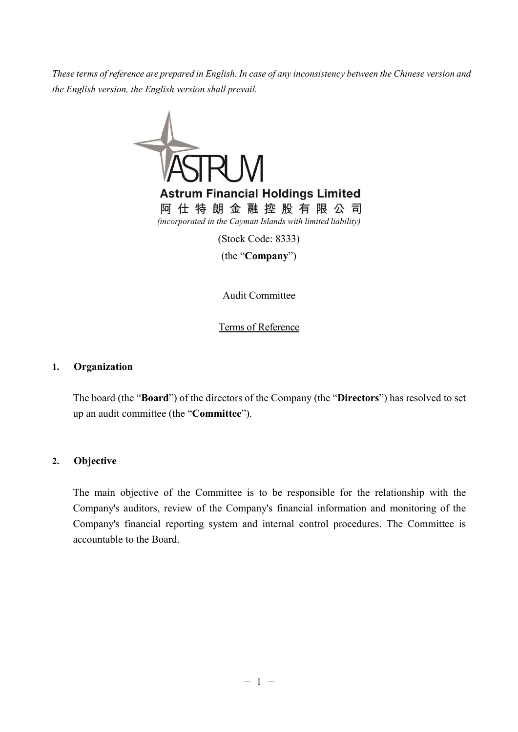*These terms of reference are prepared in English. In case of any inconsistency between the Chinese version and the English version, the English version shall prevail.*



(Stock Code: 8333)

(the "**Company**")

Audit Committee

Terms of Reference

#### **1. Organization**

The board (the "**Board**") of the directors of the Company (the "**Directors**") has resolved to set up an audit committee (the "**Committee**").

#### **2. Objective**

The main objective of the Committee is to be responsible for the relationship with the Company's auditors, review of the Company's financial information and monitoring of the Company's financial reporting system and internal control procedures. The Committee is accountable to the Board.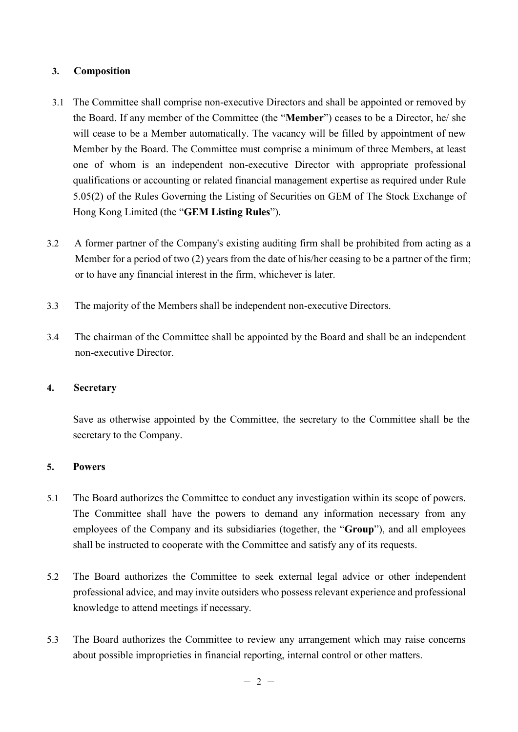# **3. Composition**

- 3.1 The Committee shall comprise non-executive Directors and shall be appointed or removed by the Board. If any member of the Committee (the "**Member**") ceases to be a Director, he/ she will cease to be a Member automatically. The vacancy will be filled by appointment of new Member by the Board. The Committee must comprise a minimum of three Members, at least one of whom is an independent non-executive Director with appropriate professional qualifications or accounting or related financial management expertise as required under Rule 5.05(2) of the Rules Governing the Listing of Securities on GEM of The Stock Exchange of Hong Kong Limited (the "**GEM Listing Rules**").
- 3.2 A former partner of the Company's existing auditing firm shall be prohibited from acting as a Member for a period of two (2) years from the date of his/her ceasing to be a partner of the firm; or to have any financial interest in the firm, whichever is later.
- 3.3 The majority of the Members shall be independent non-executive Directors.
- 3.4 The chairman of the Committee shall be appointed by the Board and shall be an independent non-executive Director.

# **4. Secretary**

Save as otherwise appointed by the Committee, the secretary to the Committee shall be the secretary to the Company.

# **5. Powers**

- 5.1 The Board authorizes the Committee to conduct any investigation within its scope of powers. The Committee shall have the powers to demand any information necessary from any employees of the Company and its subsidiaries (together, the "**Group**"), and all employees shall be instructed to cooperate with the Committee and satisfy any of its requests.
- 5.2 The Board authorizes the Committee to seek external legal advice or other independent professional advice, and may invite outsiders who possess relevant experience and professional knowledge to attend meetings if necessary.
- 5.3 The Board authorizes the Committee to review any arrangement which may raise concerns about possible improprieties in financial reporting, internal control or other matters.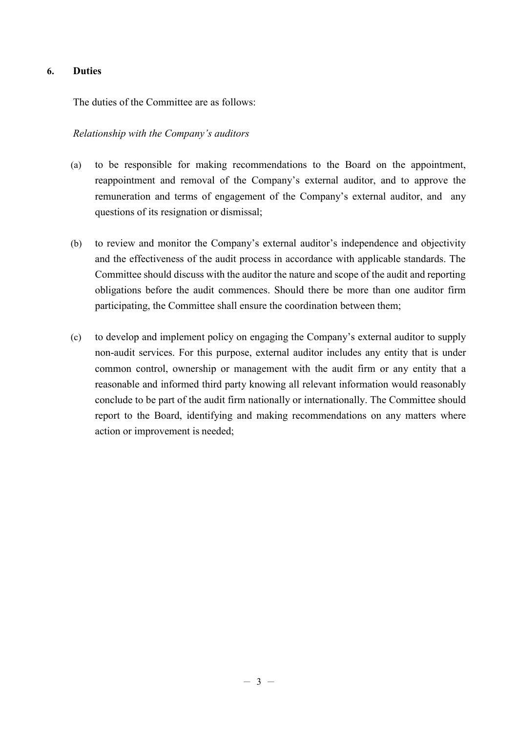# **6. Duties**

The duties of the Committee are as follows:

#### *Relationship with the Company's auditors*

- (a) to be responsible for making recommendations to the Board on the appointment, reappointment and removal of the Company's external auditor, and to approve the remuneration and terms of engagement of the Company's external auditor, and any questions of its resignation or dismissal;
- (b) to review and monitor the Company's external auditor's independence and objectivity and the effectiveness of the audit process in accordance with applicable standards. The Committee should discuss with the auditor the nature and scope of the audit and reporting obligations before the audit commences. Should there be more than one auditor firm participating, the Committee shall ensure the coordination between them;
- (c) to develop and implement policy on engaging the Company's external auditor to supply non-audit services. For this purpose, external auditor includes any entity that is under common control, ownership or management with the audit firm or any entity that a reasonable and informed third party knowing all relevant information would reasonably conclude to be part of the audit firm nationally or internationally. The Committee should report to the Board, identifying and making recommendations on any matters where action or improvement is needed;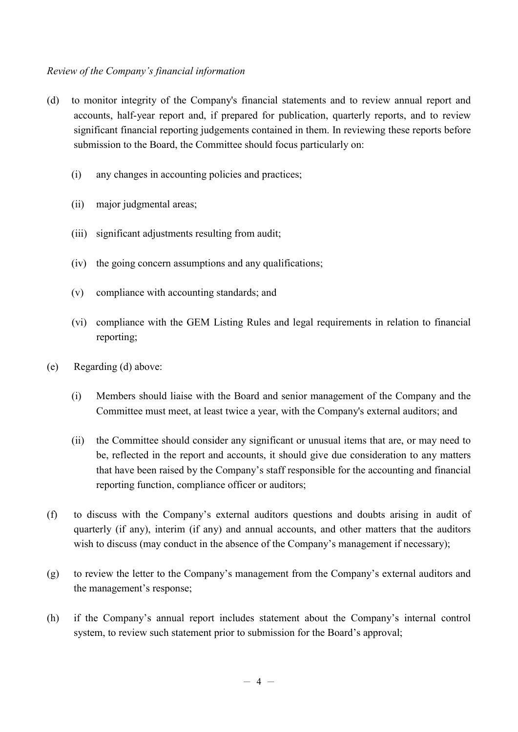# *Review of the Company's financial information*

- (d) to monitor integrity of the Company's financial statements and to review annual report and accounts, half-year report and, if prepared for publication, quarterly reports, and to review significant financial reporting judgements contained in them. In reviewing these reports before submission to the Board, the Committee should focus particularly on:
	- (i) any changes in accounting policies and practices;
	- (ii) major judgmental areas;
	- (iii) significant adjustments resulting from audit;
	- (iv) the going concern assumptions and any qualifications;
	- (v) compliance with accounting standards; and
	- (vi) compliance with the GEM Listing Rules and legal requirements in relation to financial reporting;
- (e) Regarding (d) above:
	- (i) Members should liaise with the Board and senior management of the Company and the Committee must meet, at least twice a year, with the Company's external auditors; and
	- (ii) the Committee should consider any significant or unusual items that are, or may need to be, reflected in the report and accounts, it should give due consideration to any matters that have been raised by the Company's staff responsible for the accounting and financial reporting function, compliance officer or auditors;
- (f) to discuss with the Company's external auditors questions and doubts arising in audit of quarterly (if any), interim (if any) and annual accounts, and other matters that the auditors wish to discuss (may conduct in the absence of the Company's management if necessary);
- (g) to review the letter to the Company's management from the Company's external auditors and the management's response;
- (h) if the Company's annual report includes statement about the Company's internal control system, to review such statement prior to submission for the Board's approval;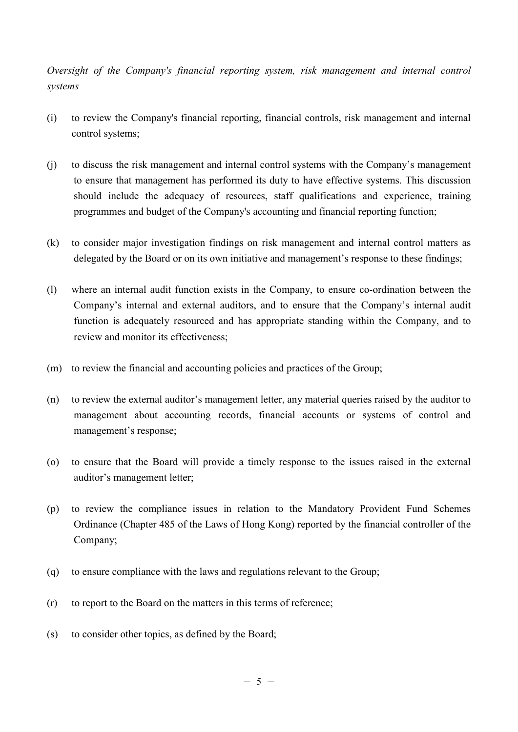*Oversight of the Company's financial reporting system, risk management and internal control systems* 

- (i) to review the Company's financial reporting, financial controls, risk management and internal control systems;
- (j) to discuss the risk management and internal control systems with the Company's management to ensure that management has performed its duty to have effective systems. This discussion should include the adequacy of resources, staff qualifications and experience, training programmes and budget of the Company's accounting and financial reporting function;
- (k) to consider major investigation findings on risk management and internal control matters as delegated by the Board or on its own initiative and management's response to these findings;
- (l) where an internal audit function exists in the Company, to ensure co-ordination between the Company's internal and external auditors, and to ensure that the Company's internal audit function is adequately resourced and has appropriate standing within the Company, and to review and monitor its effectiveness;
- (m) to review the financial and accounting policies and practices of the Group;
- (n) to review the external auditor's management letter, any material queries raised by the auditor to management about accounting records, financial accounts or systems of control and management's response;
- (o) to ensure that the Board will provide a timely response to the issues raised in the external auditor's management letter;
- (p) to review the compliance issues in relation to the Mandatory Provident Fund Schemes Ordinance (Chapter 485 of the Laws of Hong Kong) reported by the financial controller of the Company;
- (q) to ensure compliance with the laws and regulations relevant to the Group;
- (r) to report to the Board on the matters in this terms of reference;
- (s) to consider other topics, as defined by the Board;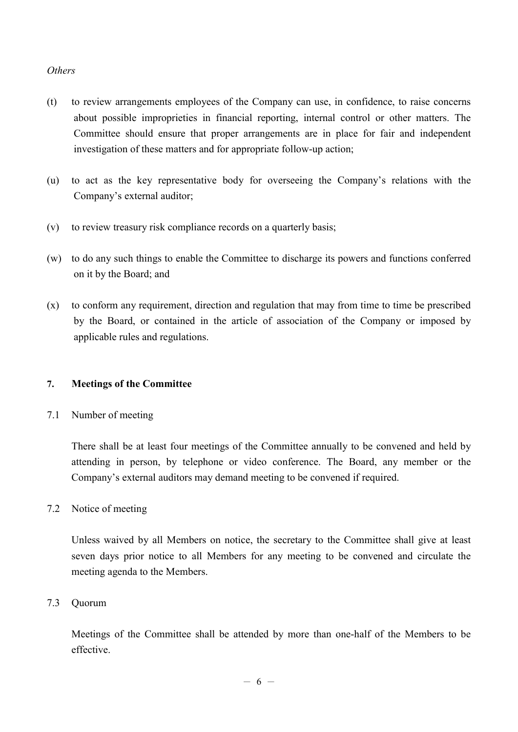# *Others*

- (t) to review arrangements employees of the Company can use, in confidence, to raise concerns about possible improprieties in financial reporting, internal control or other matters. The Committee should ensure that proper arrangements are in place for fair and independent investigation of these matters and for appropriate follow-up action;
- (u) to act as the key representative body for overseeing the Company's relations with the Company's external auditor;
- (v) to review treasury risk compliance records on a quarterly basis;
- (w) to do any such things to enable the Committee to discharge its powers and functions conferred on it by the Board; and
- (x) to conform any requirement, direction and regulation that may from time to time be prescribed by the Board, or contained in the article of association of the Company or imposed by applicable rules and regulations.

# **7. Meetings of the Committee**

7.1 Number of meeting

There shall be at least four meetings of the Committee annually to be convened and held by attending in person, by telephone or video conference. The Board, any member or the Company's external auditors may demand meeting to be convened if required.

# 7.2 Notice of meeting

Unless waived by all Members on notice, the secretary to the Committee shall give at least seven days prior notice to all Members for any meeting to be convened and circulate the meeting agenda to the Members.

# 7.3 Quorum

Meetings of the Committee shall be attended by more than one-half of the Members to be effective.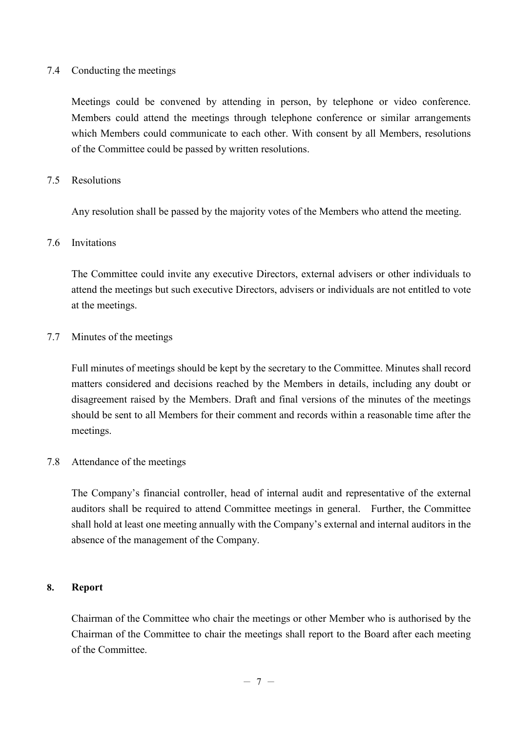#### 7.4 Conducting the meetings

Meetings could be convened by attending in person, by telephone or video conference. Members could attend the meetings through telephone conference or similar arrangements which Members could communicate to each other. With consent by all Members, resolutions of the Committee could be passed by written resolutions.

#### 7.5 Resolutions

Any resolution shall be passed by the majority votes of the Members who attend the meeting.

#### 7.6 Invitations

The Committee could invite any executive Directors, external advisers or other individuals to attend the meetings but such executive Directors, advisers or individuals are not entitled to vote at the meetings.

#### 7.7 Minutes of the meetings

Full minutes of meetings should be kept by the secretary to the Committee. Minutes shall record matters considered and decisions reached by the Members in details, including any doubt or disagreement raised by the Members. Draft and final versions of the minutes of the meetings should be sent to all Members for their comment and records within a reasonable time after the meetings.

#### 7.8 Attendance of the meetings

The Company's financial controller, head of internal audit and representative of the external auditors shall be required to attend Committee meetings in general. Further, the Committee shall hold at least one meeting annually with the Company's external and internal auditors in the absence of the management of the Company.

#### **8. Report**

Chairman of the Committee who chair the meetings or other Member who is authorised by the Chairman of the Committee to chair the meetings shall report to the Board after each meeting of the Committee.